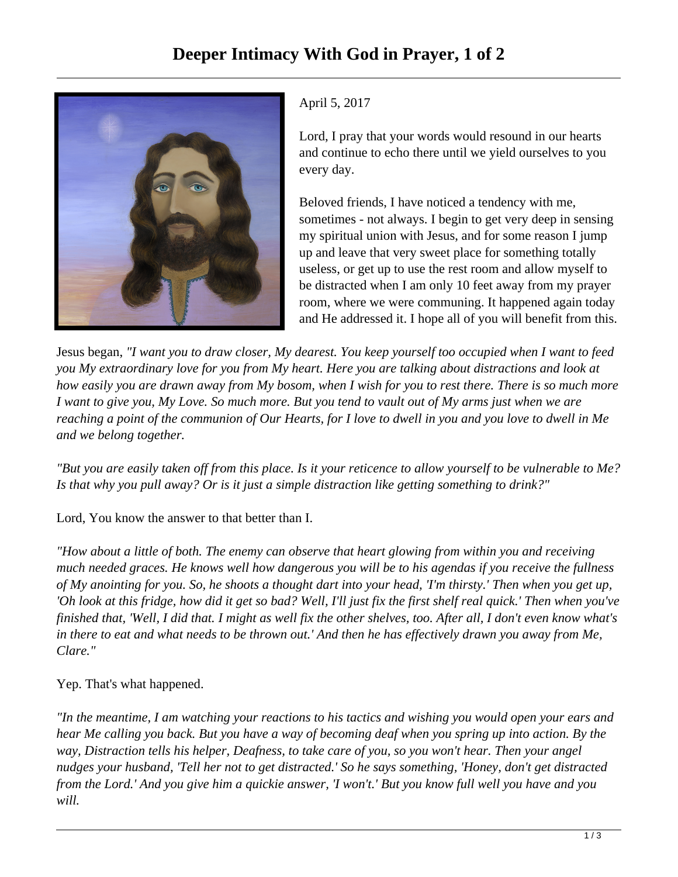

## April 5, 2017

Lord, I pray that your words would resound in our hearts and continue to echo there until we yield ourselves to you every day.

Beloved friends, I have noticed a tendency with me, sometimes - not always. I begin to get very deep in sensing my spiritual union with Jesus, and for some reason I jump up and leave that very sweet place for something totally useless, or get up to use the rest room and allow myself to be distracted when I am only 10 feet away from my prayer room, where we were communing. It happened again today and He addressed it. I hope all of you will benefit from this.

Jesus began, *"I want you to draw closer, My dearest. You keep yourself too occupied when I want to feed you My extraordinary love for you from My heart. Here you are talking about distractions and look at how easily you are drawn away from My bosom, when I wish for you to rest there. There is so much more I want to give you, My Love. So much more. But you tend to vault out of My arms just when we are reaching a point of the communion of Our Hearts, for I love to dwell in you and you love to dwell in Me and we belong together.*

*"But you are easily taken off from this place. Is it your reticence to allow yourself to be vulnerable to Me? Is that why you pull away? Or is it just a simple distraction like getting something to drink?"*

Lord, You know the answer to that better than I.

*"How about a little of both. The enemy can observe that heart glowing from within you and receiving much needed graces. He knows well how dangerous you will be to his agendas if you receive the fullness of My anointing for you. So, he shoots a thought dart into your head, 'I'm thirsty.' Then when you get up, 'Oh look at this fridge, how did it get so bad? Well, I'll just fix the first shelf real quick.' Then when you've finished that, 'Well, I did that. I might as well fix the other shelves, too. After all, I don't even know what's in there to eat and what needs to be thrown out.' And then he has effectively drawn you away from Me, Clare."*

## Yep. That's what happened.

*"In the meantime, I am watching your reactions to his tactics and wishing you would open your ears and hear Me calling you back. But you have a way of becoming deaf when you spring up into action. By the way, Distraction tells his helper, Deafness, to take care of you, so you won't hear. Then your angel nudges your husband, 'Tell her not to get distracted.' So he says something, 'Honey, don't get distracted from the Lord.' And you give him a quickie answer, 'I won't.' But you know full well you have and you will.*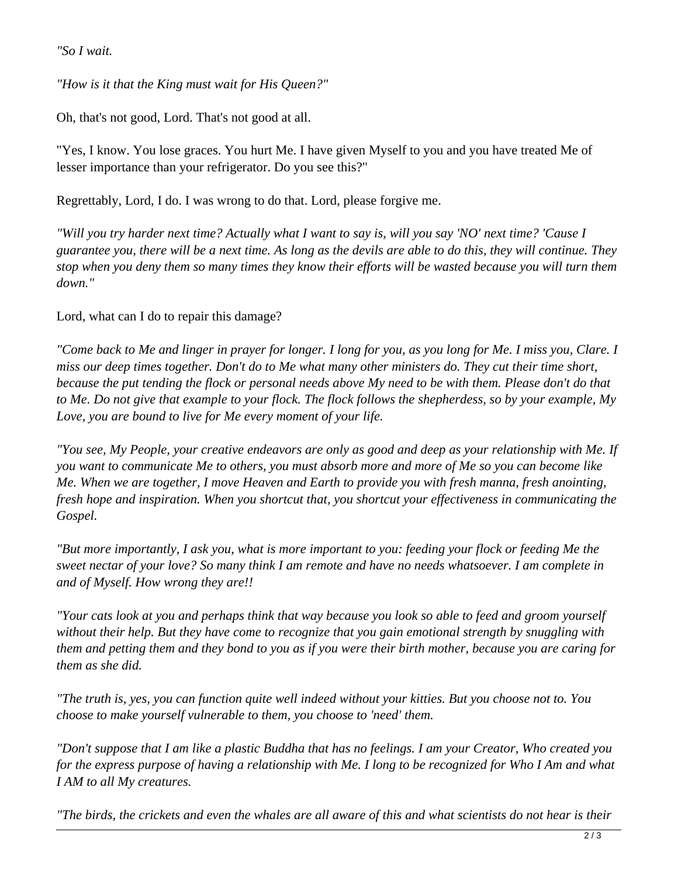## *"So I wait.*

*"How is it that the King must wait for His Queen?"*

Oh, that's not good, Lord. That's not good at all.

"Yes, I know. You lose graces. You hurt Me. I have given Myself to you and you have treated Me of lesser importance than your refrigerator. Do you see this?"

Regrettably, Lord, I do. I was wrong to do that. Lord, please forgive me.

*"Will you try harder next time? Actually what I want to say is, will you say 'NO' next time? 'Cause I guarantee you, there will be a next time. As long as the devils are able to do this, they will continue. They stop when you deny them so many times they know their efforts will be wasted because you will turn them down."*

Lord, what can I do to repair this damage?

*"Come back to Me and linger in prayer for longer. I long for you, as you long for Me. I miss you, Clare. I miss our deep times together. Don't do to Me what many other ministers do. They cut their time short, because the put tending the flock or personal needs above My need to be with them. Please don't do that to Me. Do not give that example to your flock. The flock follows the shepherdess, so by your example, My Love, you are bound to live for Me every moment of your life.* 

*"You see, My People, your creative endeavors are only as good and deep as your relationship with Me. If you want to communicate Me to others, you must absorb more and more of Me so you can become like Me. When we are together, I move Heaven and Earth to provide you with fresh manna, fresh anointing, fresh hope and inspiration. When you shortcut that, you shortcut your effectiveness in communicating the Gospel.*

*"But more importantly, I ask you, what is more important to you: feeding your flock or feeding Me the sweet nectar of your love? So many think I am remote and have no needs whatsoever. I am complete in and of Myself. How wrong they are!!* 

*"Your cats look at you and perhaps think that way because you look so able to feed and groom yourself without their help. But they have come to recognize that you gain emotional strength by snuggling with them and petting them and they bond to you as if you were their birth mother, because you are caring for them as she did.*

*"The truth is, yes, you can function quite well indeed without your kitties. But you choose not to. You choose to make yourself vulnerable to them, you choose to 'need' them.* 

*"Don't suppose that I am like a plastic Buddha that has no feelings. I am your Creator, Who created you for the express purpose of having a relationship with Me. I long to be recognized for Who I Am and what I AM to all My creatures.* 

*"The birds, the crickets and even the whales are all aware of this and what scientists do not hear is their*